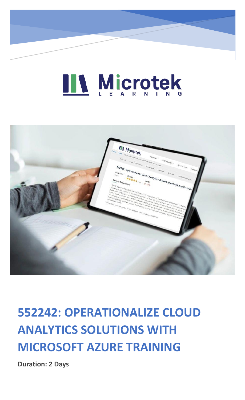# LL Microtek



### **552242: OPERATIONALIZE CLOUD ANALYTICS SOLUTIONS WITH MICROSOFT AZURE TRAINING**

**Duration: 2 Days**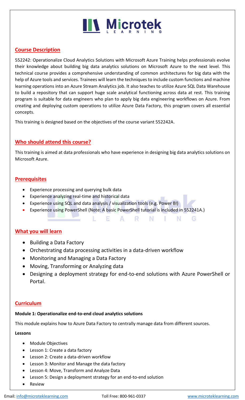## **IIV Microtek**

#### **Course Description**

552242: Operationalize Cloud Analytics Solutions with Microsoft Azure Training helps professionals evolve their knowledge about building big data analytics solutions on Microsoft Azure to the next level. This technical course provides a comprehensive understanding of common architectures for big data with the help of Azure tools and services. Trainees will learn the techniques to include custom functions and machine learning operations into an Azure Stream Analytics job. It also teaches to utilize Azure SQL Data Warehouse to build a repository that can support huge scale analytical functioning across data at rest. This training program is suitable for data engineers who plan to apply big data engineering workflows on Azure. From creating and deploying custom operations to utilize Azure Data Factory, this program covers all essential concepts.

This training is designed based on the objectives of the course variant 552242A.

#### **Who should attend this course?**

This training is aimed at data professionals who have experience in designing big data analytics solutions on Microsoft Azure.

#### **Prerequisites**

- Experience processing and querying bulk data
- Experience analyzing real-time and historical data
- Experience using SQL and data analysis / visualization tools (e.g. Power BI)
- Experience using PowerShell (Note: A basic PowerShell tutorial is included in 552241A.)

A.

E.

#### **What you will learn**

- Building a Data Factory
- Orchestrating data processing activities in a data-driven workflow
- Monitoring and Managing a Data Factory
- Moving, Transforming or Analyzing data
- Designing a deployment strategy for end-to-end solutions with Azure PowerShell or Portal.

- N

- N -

G

R.

#### **Curriculum**

#### **Module 1: Operationalize end-to-end cloud analytics solutions**

This module explains how to Azure Data Factory to centrally manage data from different sources.

#### **Lessons**

- Module Objectives
- Lesson 1: Create a data factory
- Lesson 2: Create a data-driven workflow
- Lesson 3: Monitor and Manage the data factory
- Lesson 4: Move, Transform and Analyze Data
- Lesson 5: Design a deployment strategy for an end-to-end solution
- **Review**